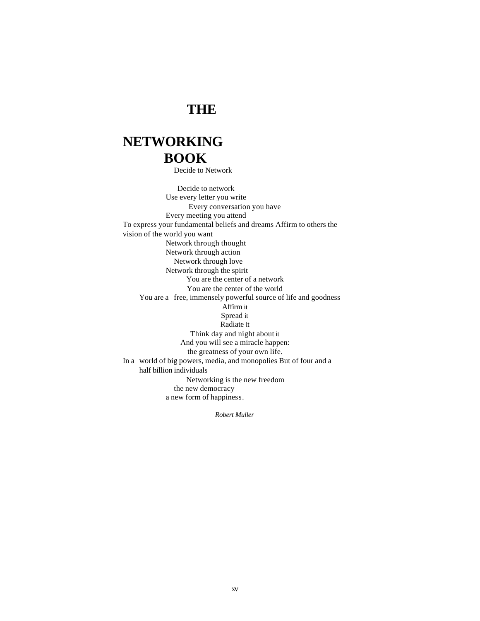### **THE**

## **NETWORKING BOOK**

Decide to Network

Decide to network Use every letter you write Every conversation you have Every meeting you attend To express your fundamental beliefs and dreams Affirm to others the vision of the world you want Network through thought Network through action Network through love Network through the spirit You are the center of a network You are the center of the world You are a free, immensely powerful source of life and goodness Affirm it Spread it Radiate it Think day and night about it And you will see a miracle happen: the greatness of your own life. In a world of big powers, media, and monopolies But of four and a half billion individuals Networking is the new freedom the new democracy a new form of happiness.

*Robert Muller*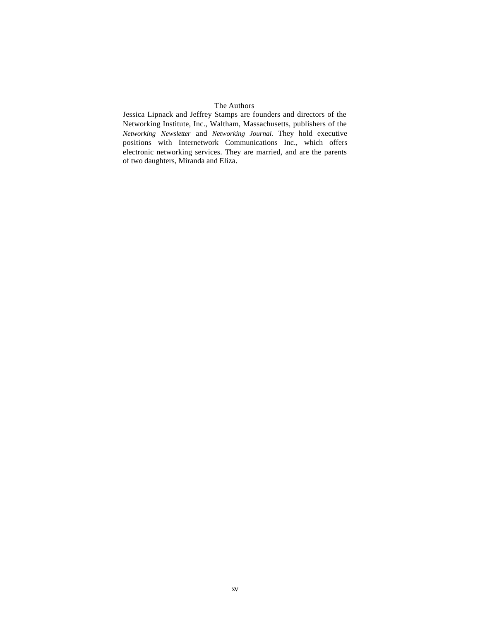### The Authors

Jessica Lipnack and Jeffrey Stamps are founders and directors of the Networking Institute, Inc., Waltham, Massachusetts, publishers of the *Networking Newsletter* and *Networking Journal.* They hold executive positions with Internetwork Communications Inc., which offers electronic networking services. They are married, and are the parents of two daughters, Miranda and Eliza.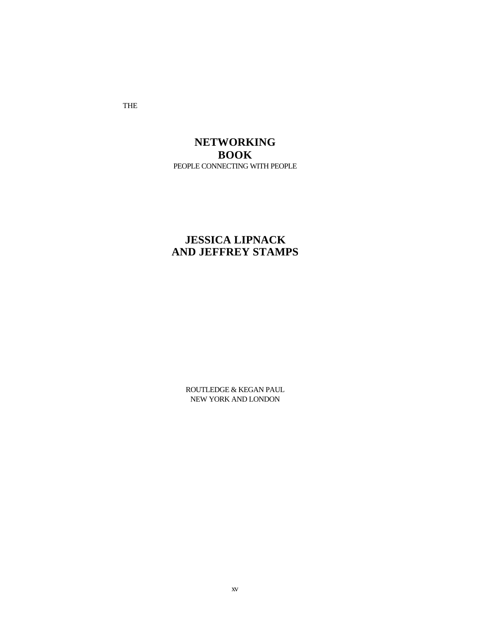THE

### **NETWORKING BOOK** PEOPLE CONNECTING WITH PEOPLE

### **JESSICA LIPNACK AND JEFFREY STAMPS**

ROUTLEDGE & KEGAN PAUL NEW YORK AND LONDON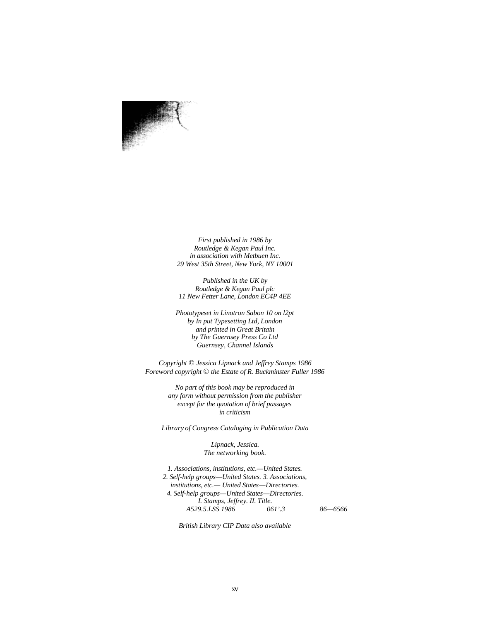*First published in 1986 by Routledge & Kegan Paul Inc. in association with Metbuen Inc. 29 West 35th Street, New York, NY 10001*

*Published in the UK by Routledge & Kegan Paul plc 11 New Fetter Lane, London EC4P 4EE*

*Phototypeset in Linotron Sabon 10 on l2pt by In put Typesetting Ltd, London and printed in Great Britain by The Guernsey Press Co Ltd Guernsey, Channel Islands*

*Copyright* © *Jessica Lipnack and Jeffrey Stamps 1986 Foreword copyright* © *the Estate of R. Buckminster Fuller 1986*

> *No part of this book may be reproduced in any form without permission from the publisher except for the quotation of brief passages in criticism*

*Library of Congress Cataloging in Publication Data*

*Lipnack, Jessica. The networking book.*

*1. Associations, institutions, etc.—United States. 2. Self-help groups—United States. 3. Associations, institutions, etc.— United States—Directories. 4. Self-help groups—United States—Directories. I. Stamps, Jeffrey. II. Title. A529.5.LSS 1986 061'.3 86—6566*

*British Library CIP Data also available*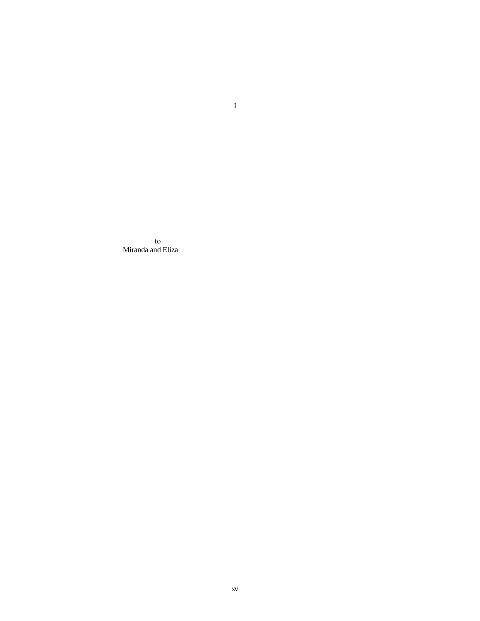to Miranda and Eliza I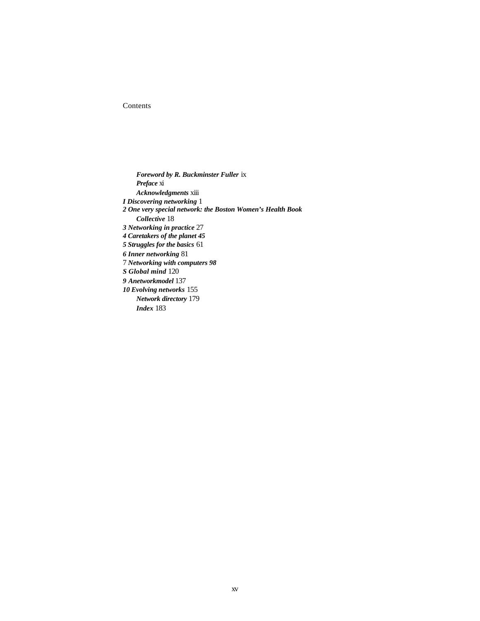### Contents

*Foreword by R. Buckminster Fuller* ix *Preface* xi *Acknowledgments* xiii *I Discovering networking* 1 *2 One very special network: the Boston Women's Health Book Collective* 18 *3 Networking in practice* 27 *4 Caretakers of the planet 45 5 Struggles for the basics* 61 *6 Inner networking* 81 7 *Networking with computers 98 S Global mind* 120 *9 Anetworkmodel* 137 *10 Evolving networks* 155 *Network directory* 179 *Index* 183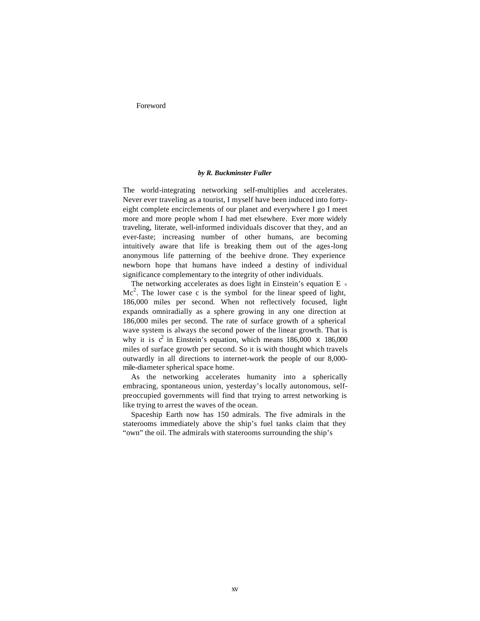Foreword

#### *by R. Buckminster Fuller*

The world-integrating networking self-multiplies and accelerates. Never ever traveling as a tourist, I myself have been induced into fortyeight complete encirclements of our planet and everywhere I go I meet more and more people whom I had met elsewhere. Ever more widely traveling, literate, well-informed individuals discover that they, and an ever-faste; increasing number of other humans, are becoming intuitively aware that life is breaking them out of the ages-long anonymous life patterning of the beehive drone. They experience newborn hope that humans have indeed a destiny of individual significance complementary to the integrity of other individuals.

The networking accelerates as does light in Einstein's equation  $E =$ Mc<sup>2</sup>. The lower case c is the symbol for the linear speed of light, 186,000 miles per second. When not reflectively focused, light expands omniradially as a sphere growing in any one direction at 186,000 miles per second. The rate of surface growth of a spherical wave system is always the second power of the linear growth. That is why it is  $c^2$  in Einstein's equation, which means 186,000 x 186,000 miles of surface growth per second. So it is with thought which travels outwardly in all directions to internet-work the people of our 8,000 mile-diameter spherical space home.

As the networking accelerates humanity into a spherically embracing, spontaneous union, yesterday's locally autonomous, selfpreoccupied governments will find that trying to arrest networking is like trying to arrest the waves of the ocean.

Spaceship Earth now has 150 admirals. The five admirals in the staterooms immediately above the ship's fuel tanks claim that they "own" the oil. The admirals with staterooms surrounding the ship's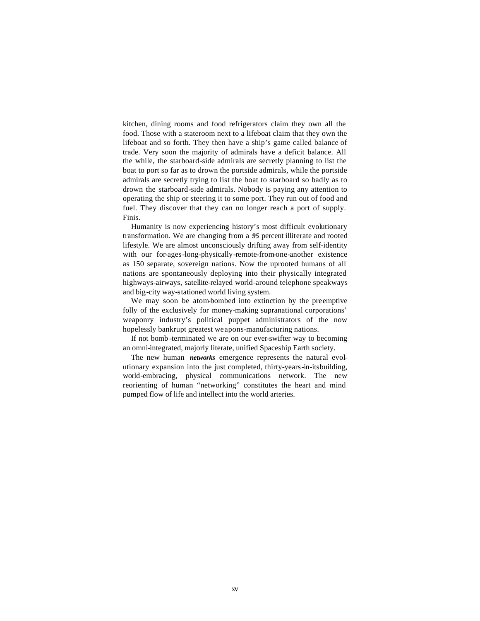kitchen, dining rooms and food refrigerators claim they own all the food. Those with a stateroom next to a lifeboat claim that they own the lifeboat and so forth. They then have a ship's game called balance of trade. Very soon the majority of admirals have a deficit balance. All the while, the starboard-side admirals are secretly planning to list the boat to port so far as to drown the portside admirals, while the portside admirals are secretly trying to list the boat to starboard so badly as to drown the starboard-side admirals. Nobody is paying any attention to operating the ship or steering it to some port. They run out of food and fuel. They discover that they can no longer reach a port of supply. Finis.

Humanity is now experiencing history's most difficult evolutionary transformation. We are changing from a *95* percent illiterate and rooted lifestyle. We are almost unconsciously drifting away from self-identity with our for-ages-long-physically-remote-from-one-another existence as 150 separate, sovereign nations. Now the uprooted humans of all nations are spontaneously deploying into their physically integrated highways-airways, satellite-relayed world-around telephone speakways and big-city way-stationed world living system.

We may soon be atom-bombed into extinction by the preemptive folly of the exclusively for money-making supranational corporations' weaponry industry's political puppet administrators of the now hopelessly bankrupt greatest weapons-manufacturing nations.

If not bomb -terminated we are on our ever-swifter way to becoming an omni-integrated, majorly literate, unified Spaceship Earth society.

The new human *networks* emergence represents the natural evolutionary expansion into the just completed, thirty-years-in-itsbuilding, world-embracing, physical communications network. The new reorienting of human "networking" constitutes the heart and mind pumped flow of life and intellect into the world arteries.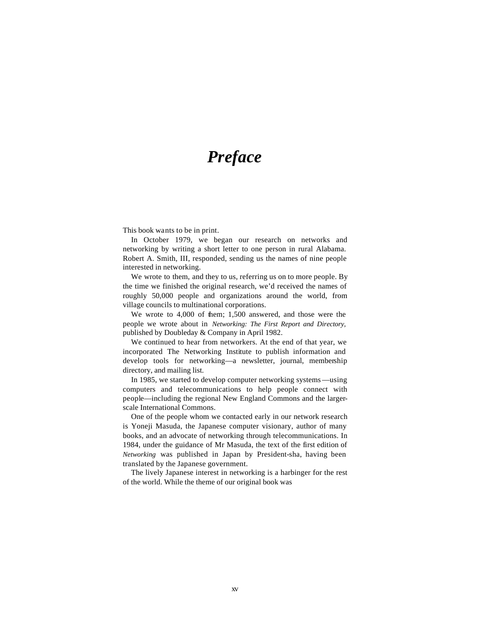# *Preface*

This book wants to be in print.

In October 1979, we began our research on networks and networking by writing a short letter to one person in rural Alabama. Robert A. Smith, III, responded, sending us the names of nine people interested in networking.

We wrote to them, and they to us, referring us on to more people. By the time we finished the original research, we'd received the names of roughly 50,000 people and organizations around the world, from village councils to multinational corporations.

We wrote to 4,000 of them; 1,500 answered, and those were the people we wrote about in *Networking: The First Report and Directory,*  published by Doubleday & Company in April 1982.

We continued to hear from networkers. At the end of that year, we incorporated The Networking Institute to publish information and develop tools for networking—a newsletter, journal, membership directory, and mailing list.

In 1985, we started to develop computer networking systems—using computers and telecommunications to help people connect with people—including the regional New England Commons and the largerscale International Commons.

One of the people whom we contacted early in our network research is Yoneji Masuda, the Japanese computer visionary, author of many books, and an advocate of networking through telecommunications. In 1984, under the guidance of Mr Masuda, the text of the first edition of *Networking* was published in Japan by President-sha, having been translated by the Japanese government.

The lively Japanese interest in networking is a harbinger for the rest of the world. While the theme of our original book was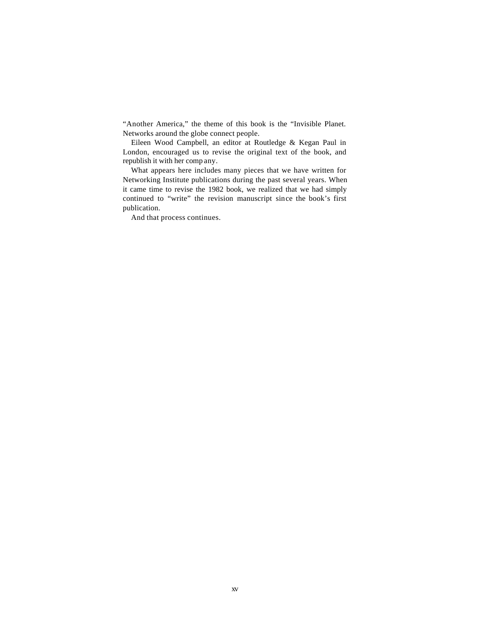"Another America," the theme of this book is the "Invisible Planet. Networks around the globe connect people.

Eileen Wood Campbell, an editor at Routledge & Kegan Paul in London, encouraged us to revise the original text of the book, and republish it with her comp any.

What appears here includes many pieces that we have written for Networking Institute publications during the past several years. When it came time to revise the 1982 book, we realized that we had simply continued to "write" the revision manuscript since the book's first publication.

And that process continues.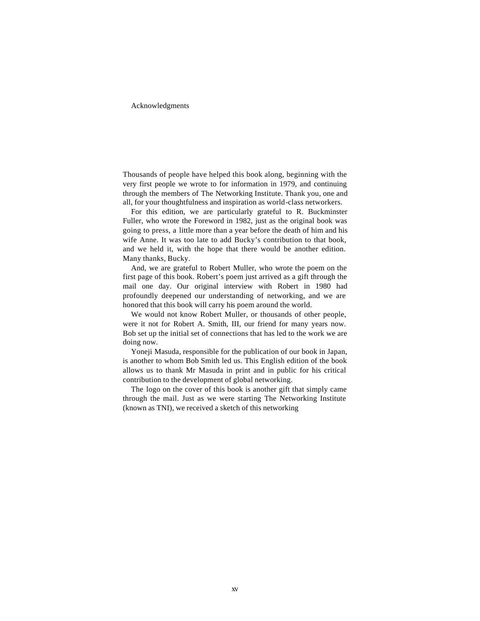#### Acknowledgments

Thousands of people have helped this book along, beginning with the very first people we wrote to for information in 1979, and continuing through the members of The Networking Institute. Thank you, one and all, for your thoughtfulness and inspiration as world-class networkers.

For this edition, we are particularly grateful to R. Buckminster Fuller, who wrote the Foreword in 1982, just as the original book was going to press, a little more than a year before the death of him and his wife Anne. It was too late to add Bucky's contribution to that book, and we held it, with the hope that there would be another edition. Many thanks, Bucky.

And, we are grateful to Robert Muller, who wrote the poem on the first page of this book. Robert's poem just arrived as a gift through the mail one day. Our original interview with Robert in 1980 had profoundly deepened our understanding of networking, and we are honored that this book will carry his poem around the world.

We would not know Robert Muller, or thousands of other people, were it not for Robert A. Smith, III, our friend for many years now. Bob set up the initial set of connections that has led to the work we are doing now.

Yoneji Masuda, responsible for the publication of our book in Japan, is another to whom Bob Smith led us. This English edition of the book allows us to thank Mr Masuda in print and in public for his critical contribution to the development of global networking.

The logo on the cover of this book is another gift that simply came through the mail. Just as we were starting The Networking Institute (known as TNI), we received a sketch of this networking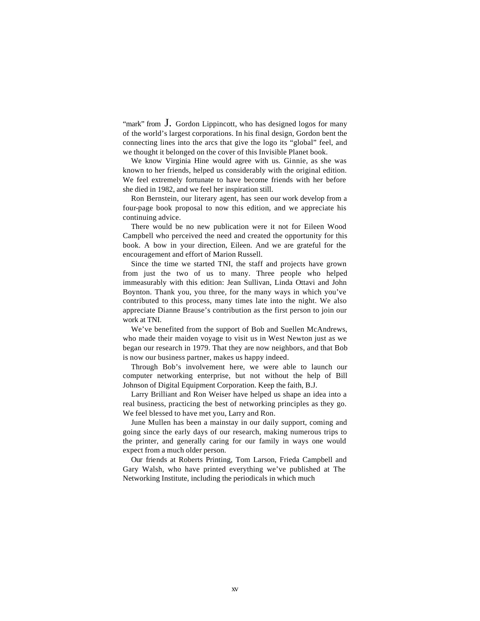"mark" from  $\overline{J}$ . Gordon Lippincott, who has designed logos for many of the world's largest corporations. In his final design, Gordon bent the connecting lines into the arcs that give the logo its "global" feel, and we thought it belonged on the cover of this Invisible Planet book.

We know Virginia Hine would agree with us. Ginnie, as she was known to her friends, helped us considerably with the original edition. We feel extremely fortunate to have become friends with her before she died in 1982, and we feel her inspiration still.

Ron Bernstein, our literary agent, has seen our work develop from a four-page book proposal to now this edition, and we appreciate his continuing advice.

There would be no new publication were it not for Eileen Wood Campbell who perceived the need and created the opportunity for this book. A bow in your direction, Eileen. And we are grateful for the encouragement and effort of Marion Russell.

Since the time we started TNI, the staff and projects have grown from just the two of us to many. Three people who helped immeasurably with this edition: Jean Sullivan, Linda Ottavi and John Boynton. Thank you, you three, for the many ways in which you've contributed to this process, many times late into the night. We also appreciate Dianne Brause's contribution as the first person to join our work at TNI.

We've benefited from the support of Bob and Suellen McAndrews, who made their maiden voyage to visit us in West Newton just as we began our research in 1979. That they are now neighbors, and that Bob is now our business partner, makes us happy indeed.

Through Bob's involvement here, we were able to launch our computer networking enterprise, but not without the help of Bill Johnson of Digital Equipment Corporation. Keep the faith, B.J.

Larry Brilliant and Ron Weiser have helped us shape an idea into a real business, practicing the best of networking principles as they go. We feel blessed to have met you, Larry and Ron.

June Mullen has been a mainstay in our daily support, coming and going since the early days of our research, making numerous trips to the printer, and generally caring for our family in ways one would expect from a much older person.

Our friends at Roberts Printing, Tom Larson, Frieda Campbell and Gary Walsh, who have printed everything we've published at The Networking Institute, including the periodicals in which much